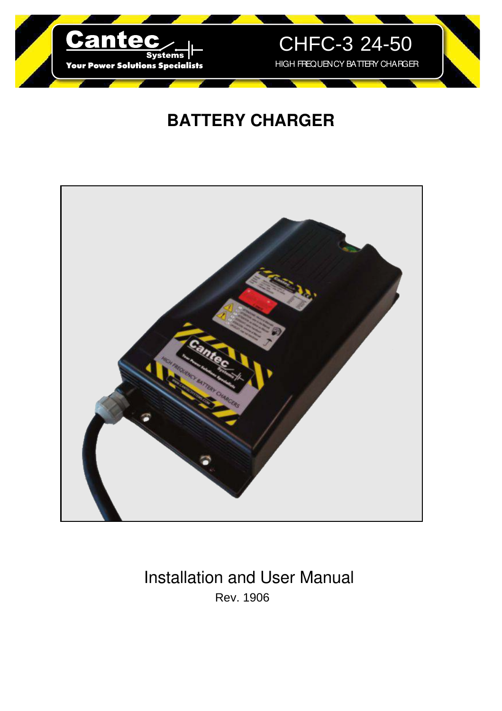

# **BATTERY CHARGER**



# Installation and User Manual Rev. 1906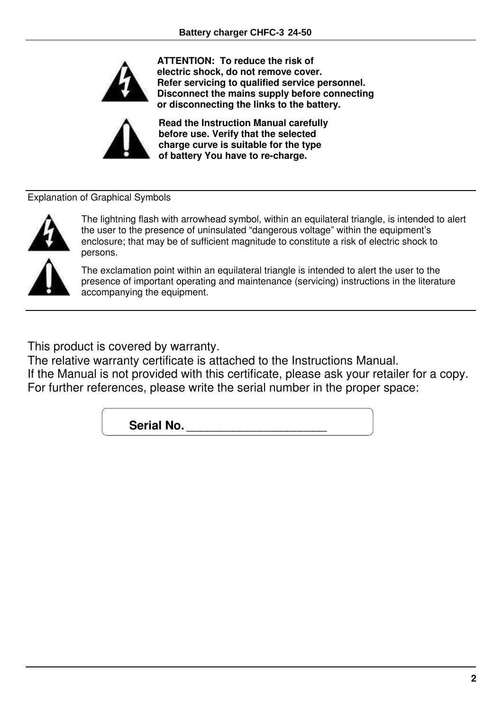

**ATTENTION: To reduce the risk of electric shock, do not remove cover. Refer servicing to qualified service personnel. Disconnect the mains supply before connecting or disconnecting the links to the battery.**



**Read the Instruction Manual carefully before use. Verify that the selected charge curve is suitable for the type of battery You have to re-charge.**

#### Explanation of Graphical Symbols



The lightning flash with arrowhead symbol, within an equilateral triangle, is intended to alert the user to the presence of uninsulated "dangerous voltage" within the equipment's enclosure; that may be of sufficient magnitude to constitute a risk of electric shock to persons.



The exclamation point within an equilateral triangle is intended to alert the user to the presence of important operating and maintenance (servicing) instructions in the literature accompanying the equipment.

This product is covered by warranty.

The relative warranty certificate is attached to the Instructions Manual. If the Manual is not provided with this certificate, please ask your retailer for a copy. For further references, please write the serial number in the proper space:

**Serial No.** \_\_\_\_\_\_\_\_\_\_\_\_\_\_\_\_\_\_\_\_\_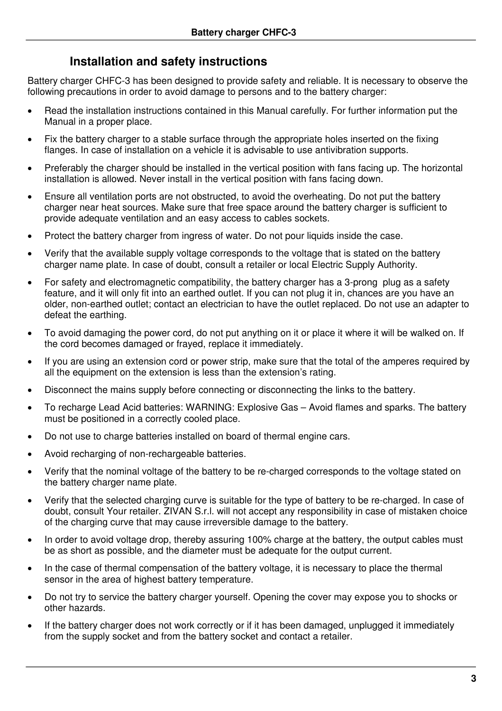### **Installation and safety instructions**

Battery charger CHFC-3 has been designed to provide safety and reliable. It is necessary to observe the following precautions in order to avoid damage to persons and to the battery charger:

- Read the installation instructions contained in this Manual carefully. For further information put the Manual in a proper place.
- Fix the battery charger to a stable surface through the appropriate holes inserted on the fixing flanges. In case of installation on a vehicle it is advisable to use antivibration supports.
- Preferably the charger should be installed in the vertical position with fans facing up. The horizontal installation is allowed. Never install in the vertical position with fans facing down.
- Ensure all ventilation ports are not obstructed, to avoid the overheating. Do not put the battery charger near heat sources. Make sure that free space around the battery charger is sufficient to provide adequate ventilation and an easy access to cables sockets.
- Protect the battery charger from ingress of water. Do not pour liquids inside the case.
- Verify that the available supply voltage corresponds to the voltage that is stated on the battery charger name plate. In case of doubt, consult a retailer or local Electric Supply Authority.
- For safety and electromagnetic compatibility, the battery charger has a 3-prong plug as a safety feature, and it will only fit into an earthed outlet. If you can not plug it in, chances are you have an older, non-earthed outlet; contact an electrician to have the outlet replaced. Do not use an adapter to defeat the earthing.
- To avoid damaging the power cord, do not put anything on it or place it where it will be walked on. If the cord becomes damaged or frayed, replace it immediately.
- If you are using an extension cord or power strip, make sure that the total of the amperes required by all the equipment on the extension is less than the extension's rating.
- Disconnect the mains supply before connecting or disconnecting the links to the battery.
- To recharge Lead Acid batteries: WARNING: Explosive Gas Avoid flames and sparks. The battery must be positioned in a correctly cooled place.
- Do not use to charge batteries installed on board of thermal engine cars.
- Avoid recharging of non-rechargeable batteries.
- Verify that the nominal voltage of the battery to be re-charged corresponds to the voltage stated on the battery charger name plate.
- Verify that the selected charging curve is suitable for the type of battery to be re-charged. In case of doubt, consult Your retailer. ZIVAN S.r.l. will not accept any responsibility in case of mistaken choice of the charging curve that may cause irreversible damage to the battery.
- In order to avoid voltage drop, thereby assuring 100% charge at the battery, the output cables must be as short as possible, and the diameter must be adequate for the output current.
- In the case of thermal compensation of the battery voltage, it is necessary to place the thermal sensor in the area of highest battery temperature.
- Do not try to service the battery charger yourself. Opening the cover may expose you to shocks or other hazards.
- If the battery charger does not work correctly or if it has been damaged, unplugged it immediately from the supply socket and from the battery socket and contact a retailer.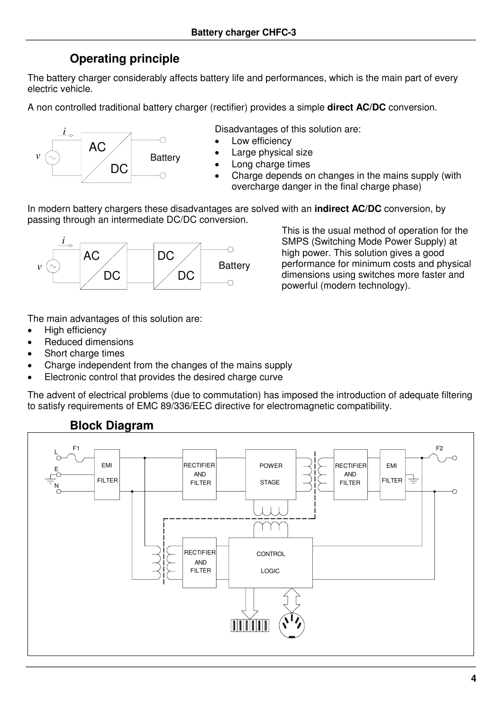### **Operating principle**

The battery charger considerably affects battery life and performances, which is the main part of every electric vehicle.

A non controlled traditional battery charger (rectifier) provides a simple **direct AC/DC** conversion.



Disadvantages of this solution are:

- Low efficiency
- Large physical size
- Long charge times
	- Charge depends on changes in the mains supply (with overcharge danger in the final charge phase)

In modern battery chargers these disadvantages are solved with an **indirect AC/DC** conversion, by passing through an intermediate DC/DC conversion.



This is the usual method of operation for the SMPS (Switching Mode Power Supply) at high power. This solution gives a good performance for minimum costs and physical dimensions using switches more faster and powerful (modern technology).

The main advantages of this solution are:

- High efficiency
- Reduced dimensions
- Short charge times
- Charge independent from the changes of the mains supply
- Electronic control that provides the desired charge curve

The advent of electrical problems (due to commutation) has imposed the introduction of adequate filtering to satisfy requirements of EMC 89/336/EEC directive for electromagnetic compatibility.



### **Block Diagram**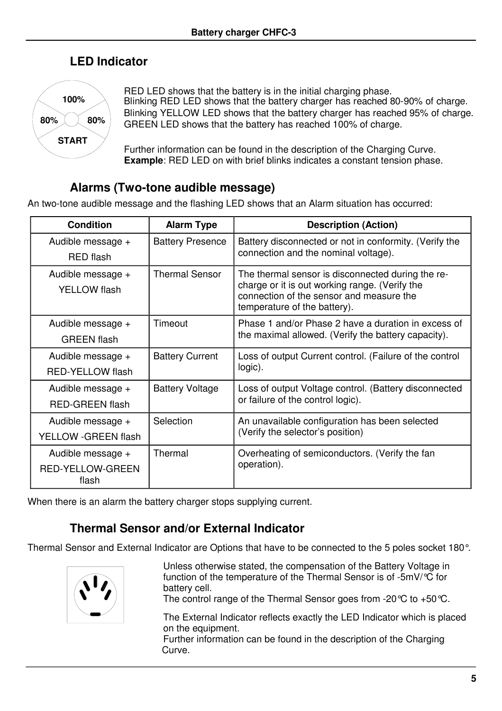### **LED Indicator**



RED LED shows that the battery is in the initial charging phase. Blinking YELLOW LED shows that the battery charger has reached 95% of charge. GREEN LED shows that the battery has reached 100% of charge. Blinking RED LED shows that the battery charger has reached 80-90% of charge.

Further information can be found in the description of the Charging Curve. **Example**: RED LED on with brief blinks indicates a constant tension phase.

### **Alarms (Two-tone audible message)**

An two-tone audible message and the flashing LED shows that an Alarm situation has occurred:

| Condition                                      | <b>Alarm Type</b>       | <b>Description (Action)</b>                                                                                                                                                     |
|------------------------------------------------|-------------------------|---------------------------------------------------------------------------------------------------------------------------------------------------------------------------------|
| Audible message +<br>RED flash                 | <b>Battery Presence</b> | Battery disconnected or not in conformity. (Verify the<br>connection and the nominal voltage).                                                                                  |
| Audible message +<br>YELLOW flash              | <b>Thermal Sensor</b>   | The thermal sensor is disconnected during the re-<br>charge or it is out working range. (Verify the<br>connection of the sensor and measure the<br>temperature of the battery). |
| Audible message +<br><b>GREEN</b> flash        | Timeout                 | Phase 1 and/or Phase 2 have a duration in excess of<br>the maximal allowed. (Verify the battery capacity).                                                                      |
| Audible message +<br><b>RED-YELLOW flash</b>   | <b>Battery Current</b>  | Loss of output Current control. (Failure of the control<br>logic).                                                                                                              |
| Audible message +<br><b>RED-GREEN flash</b>    | <b>Battery Voltage</b>  | Loss of output Voltage control. (Battery disconnected<br>or failure of the control logic).                                                                                      |
| Audible message +<br>YELLOW -GREEN flash       | Selection               | An unavailable configuration has been selected<br>(Verify the selector's position)                                                                                              |
| Audible message +<br>RED-YELLOW-GREEN<br>flash | Thermal                 | Overheating of semiconductors. (Verify the fan<br>operation).                                                                                                                   |

When there is an alarm the battery charger stops supplying current.

### **Thermal Sensor and/or External Indicator**

Thermal Sensor and External Indicator are Options that have to be connected to the 5 poles socket 180°.



Unless otherwise stated, the compensation of the Battery Voltage in function of the temperature of the Thermal Sensor is of -5mV/°C for battery cell.

The control range of the Thermal Sensor goes from -20°C to +50°C.

The External Indicator reflects exactly the LED Indicator which is placed on the equipment.

Further information can be found in the description of the Charging Curve.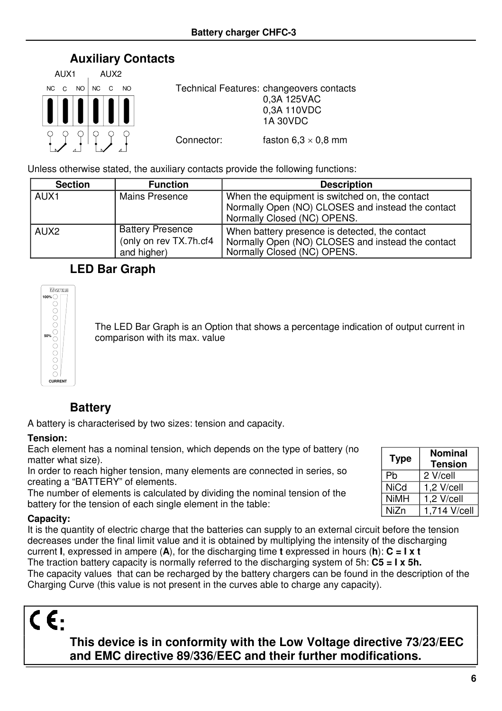### **Auxiliary Contacts**



Unless otherwise stated, the auxiliary contacts provide the following functions:

| <b>Section</b>   | <b>Function</b>                                                  | <b>Description</b>                                                                                                                 |
|------------------|------------------------------------------------------------------|------------------------------------------------------------------------------------------------------------------------------------|
| AUX <sub>1</sub> | Mains Presence                                                   | When the equipment is switched on, the contact<br>Normally Open (NO) CLOSES and instead the contact<br>Normally Closed (NC) OPENS. |
| AUX <sub>2</sub> | <b>Battery Presence</b><br>(only on rev TX.7h.cf4<br>and higher) | When battery presence is detected, the contact<br>Normally Open (NO) CLOSES and instead the contact<br>Normally Closed (NC) OPENS. |

### **LED Bar Graph**



The LED Bar Graph is an Option that shows a percentage indication of output current in comparison with its max. value

## **Battery**

A battery is characterised by two sizes: tension and capacity.

#### **Tension:**

Each element has a nominal tension, which depends on the type of battery (no matter what size).

In order to reach higher tension, many elements are connected in series, so creating a "BATTERY" of elements.

The number of elements is calculated by dividing the nominal tension of the battery for the tension of each single element in the table:

#### **Capacity:**

**:**

It is the quantity of electric charge that the batteries can supply to an external circuit before the tension decreases under the final limit value and it is obtained by multiplying the intensity of the discharging current **I**, expressed in ampere (**A**), for the discharging time **t** expressed in hours (**h**): **C = I x t** The traction battery capacity is normally referred to the discharging system of 5h: **C5 = I x 5h.** The capacity values that can be recharged by the battery chargers can be found in the description of the Charging Curve (this value is not present in the curves able to charge any capacity).

### **This device is in conformity with the Low Voltage directive 73/23/EEC and EMC directive 89/336/EEC and their further modifications.**

| Type | Nominal<br>Tension |
|------|--------------------|
| Pb   | 2 V/cell           |
| NiCd | 1,2 V/cell         |
| NiMH | 1,2 V/cell         |
| NiZn | 1.714 V/cell       |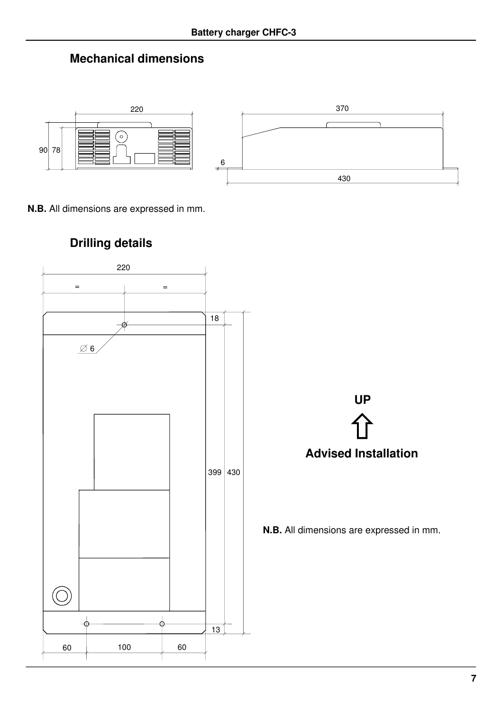# **Mechanical dimensions**





**N.B.** All dimensions are expressed in mm.



# **Drilling details**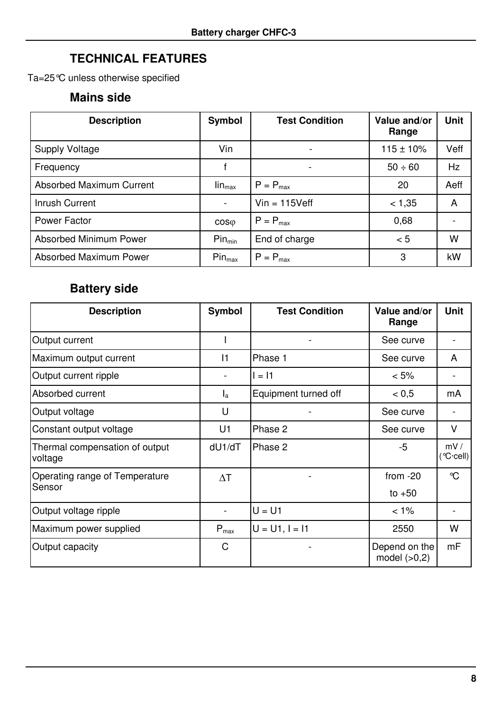# **TECHNICAL FEATURES**

Ta=25°C unless otherwise specified

### **Mains side**

| <b>Description</b>       | Symbol                        | <b>Test Condition</b> | Value and/or<br>Range | <b>Unit</b> |
|--------------------------|-------------------------------|-----------------------|-----------------------|-------------|
| Supply Voltage           | Vin                           |                       | $115 \pm 10\%$        | Veff        |
| Frequency                |                               | ۰                     | $50 \div 60$          | Hz          |
| Absorbed Maximum Current | $\mathsf{lin}_{\mathsf{max}}$ | $P = P_{max}$         | 20                    | Aeff        |
| Inrush Current           |                               | $Vin = 115Veff$       | < 1.35                | A           |
| Power Factor             | COS <sub>0</sub>              | $P = P_{max}$         | 0.68                  |             |
| Absorbed Minimum Power   | Pin <sub>min</sub>            | End of charge         | < 5                   | w           |
| Absorbed Maximum Power   | $Pin_{\text{max}}$            | $P = P_{max}$         | 3                     | kW          |

## **Battery side**

| <b>Description</b>                        | Symbol           | <b>Test Condition</b> | Value and/or<br>Range           | <b>Unit</b>     |
|-------------------------------------------|------------------|-----------------------|---------------------------------|-----------------|
| Output current                            |                  |                       | See curve                       |                 |
| Maximum output current                    | $\vert$ 1        | Phase 1               | See curve                       | A               |
| Output current ripple                     |                  | $I = 11$              | $< 5\%$                         |                 |
| Absorbed current                          | $I_{\rm a}$      | Equipment turned off  | < 0.5                           | mA              |
| Output voltage                            | U                |                       | See curve                       |                 |
| Constant output voltage                   | U1               | Phase 2               | See curve                       | V               |
| Thermal compensation of output<br>voltage | dU1/dT           | Phase 2               | -5                              | mV/<br>(℃·cell) |
| Operating range of Temperature            | $\Delta T$       |                       | from $-20$                      | °C              |
| Sensor                                    |                  |                       | to $+50$                        |                 |
| Output voltage ripple                     |                  | $U = U1$              | $< 1\%$                         |                 |
| Maximum power supplied                    | $P_{\text{max}}$ | $U = U1, I = I1$      | 2550                            | w               |
| Output capacity                           | С                |                       | Depend on the<br>model $(>0,2)$ | mF              |